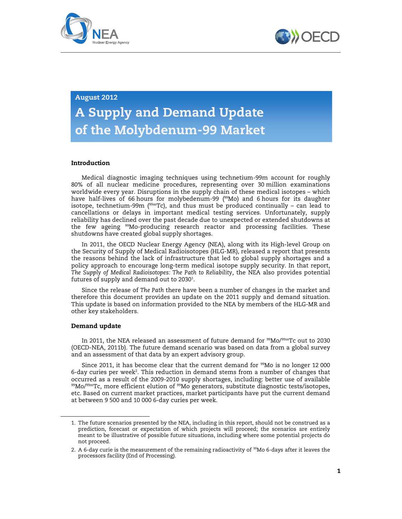



# August 2012

# A Supply and Demand Update of the Molybdenum-99 Market

## Introduction

Medical diagnostic imaging techniques using technetium-99m account for roughly 80% of all nuclear medicine procedures, representing over 30 million examinations worldwide every year. Disruptions in the supply chain of these medical isotopes – which have half-lives of 66 hours for molybedenum-99  $(99)$  and 6 hours for its daughter isotope, technetium-99m ( $99mTc$ ), and thus must be produced continually – can lead to cancellations or delays in important medical testing services. Unfortunately, supply reliability has declined over the past decade due to unexpected or extended shutdowns at the few ageing <sup>99</sup>Mo-producing research reactor and processing facilities. These shutdowns have created global supply shortages.

In 2011, the OECD Nuclear Energy Agency (NEA), along with its High-level Group on the Security of Supply of Medical Radioisotopes (HLG-MR), released a report that presents the reasons behind the lack of infrastructure that led to global supply shortages and a policy approach to encourage long-term medical isotope supply security. In that report, *The Supply of Medical Radioisotopes: The Path to Reliability,* the NEA also provides potential futures of supply and demand out to 2030 $^{\rm 1}$ .

Since the release of *The Path* there have been a number of changes in the market and therefore this document provides an update on the 2011 supply and demand situation. This update is based on information provided to the NEA by members of the HLG-MR and other key stakeholders.

### Demand update

 $\overline{a}$ 

In 2011, the NEA released an assessment of future demand for <sup>99</sup>Mo/<sup>99m</sup>Tc out to 2030 (OECD-NEA, 2011b). The future demand scenario was based on data from a global survey and an assessment of that data by an expert advisory group.

Since 2011, it has become clear that the current demand for  $\frac{99}{100}$  is no longer 12000 6-day curies per week<sup>2</sup>. This reduction in demand stems from a number of changes that occurred as a result of the 2009-2010 supply shortages, including: better use of available  $99$ Mo/ $99m$ Tc, more efficient elution of  $99M$ o generators, substitute diagnostic tests/isotopes, etc. Based on current market practices, market participants have put the current demand at between 9 500 and 10 000 6-day curies per week.

<sup>1.</sup> The future scenarios presented by the NEA, including in this report, should not be construed as a prediction, forecast or expectation of which projects will proceed; the scenarios are entirely meant to be illustrative of possible future situations, including where some potential projects do not proceed.

<sup>2.</sup> A 6-day curie is the measurement of the remaining radioactivity of <sup>99</sup>Mo 6-days after it leaves the processors facility (End of Processing).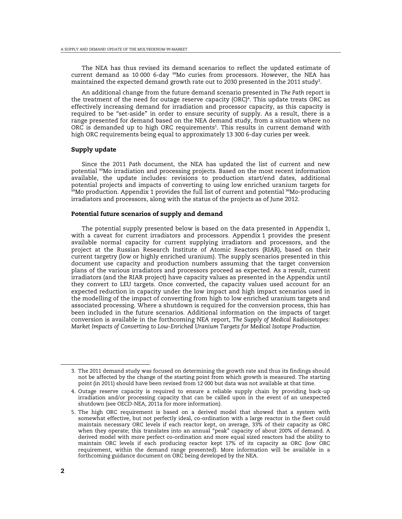The NEA has thus revised its demand scenarios to reflect the updated estimate of current demand as 10 000 6-day  $^{99}$ Mo curies from processors. However, the NEA has maintained the expected demand growth rate out to 2030 presented in the 2011 study $^3\!$ .

An additional change from the future demand scenario presented in *The Path* report is the treatment of the need for outage reserve capacity (ORC) $4$ . This update treats ORC as effectively increasing demand for irradiation and processor capacity, as this capacity is required to be "set-aside" in order to ensure security of supply. As a result, there is a range presented for demand based on the NEA demand study, from a situation where no ORC is demanded up to high ORC requirements $5$ . This results in current demand with high ORC requirements being equal to approximately 13 300 6-day curies per week.

#### Supply update

Since the 2011 *Path* document, the NEA has updated the list of current and new potential <sup>99</sup>Mo irradiation and processing projects. Based on the most recent information available, the update includes: revisions to production start/end dates, additional potential projects and impacts of converting to using low enriched uranium targets for  $99$ Mo production. Appendix 1 provides the full list of current and potential  $99$ Mo-producing irradiators and processors, along with the status of the projects as of June 2012.

#### Potential future scenarios of supply and demand

The potential supply presented below is based on the data presented in Appendix 1, with a caveat for current irradiators and processors. Appendix 1 provides the present available normal capacity for current supplying irradiators and processors, and the project at the Russian Research Institute of Atomic Reactors (RIAR), based on their current targetry (low or highly enriched uranium). The supply scenarios presented in this document use capacity and production numbers assuming that the target conversion plans of the various irradiators and processors proceed as expected. As a result, current irradiators (and the RIAR project) have capacity values as presented in the Appendix until they convert to LEU targets. Once converted, the capacity values used account for an expected reduction in capacity under the low impact and high impact scenarios used in the modelling of the impact of converting from high to low enriched uranium targets and associated processing. Where a shutdown is required for the conversion process, this has been included in the future scenarios. Additional information on the impacts of target conversion is available in the forthcoming NEA report, *The Supply of Medical Radioisotopes: Market Impacts of Converting to Low-Enriched Uranium Targets for Medical Isotope Production.*

<sup>3.</sup> The 2011 demand study was focused on determining the growth rate and thus its findings should not be affected by the change of the starting point from which growth is measured. The starting point (in 2011) should have been revised from 12 000 but data was not available at that time.

<sup>4.</sup> Outage reserve capacity is required to ensure a reliable supply chain by providing back-up irradiation and/or processing capacity that can be called upon in the event of an unexpected shutdown (see OECD-NEA, 2011a for more information).

<sup>5.</sup> The high ORC requirement is based on a derived model that showed that a system with somewhat effective, but not perfectly ideal, co-ordination with a large reactor in the fleet could maintain necessary ORC levels if each reactor kept, on average, 33% of their capacity as ORC when they operate; this translates into an annual "peak" capacity of about 200% of demand. A derived model with more perfect co-ordination and more equal sized reactors had the ability to maintain ORC levels if each producing reactor kept 17% of its capacity as ORC (low ORC requirement, within the demand range presented). More information will be available in a forthcoming guidance document on ORC being developed by the NEA.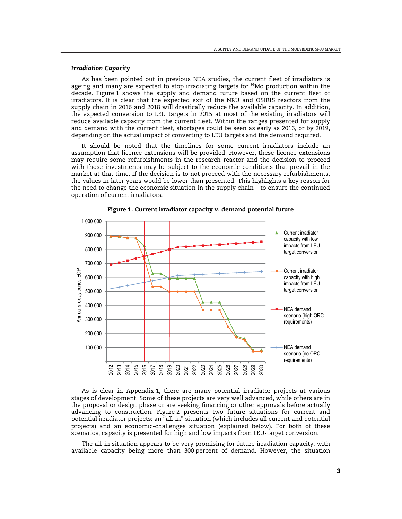## *Irradiation Capacity*

As has been pointed out in previous NEA studies, the current fleet of irradiators is ageing and many are expected to stop irradiating targets for <sup>99</sup>Mo production within the decade. Figure 1 shows the supply and demand future based on the current fleet of irradiators. It is clear that the expected exit of the NRU and OSIRIS reactors from the supply chain in 2016 and 2018 will drastically reduce the available capacity. In addition, the expected conversion to LEU targets in 2015 at most of the existing irradiators will reduce available capacity from the current fleet. Within the ranges presented for supply and demand with the current fleet, shortages could be seen as early as 2016, or by 2019, depending on the actual impact of converting to LEU targets and the demand required.

It should be noted that the timelines for some current irradiators include an assumption that licence extensions will be provided. However, these licence extensions may require some refurbishments in the research reactor and the decision to proceed with those investments may be subject to the economic conditions that prevail in the market at that time. If the decision is to not proceed with the necessary refurbishments, the values in later years would be lower than presented. This highlights a key reason for the need to change the economic situation in the supply chain – to ensure the continued operation of current irradiators.



Figure 1. Current irradiator capacity v. demand potential future

As is clear in Appendix 1, there are many potential irradiator projects at various stages of development. Some of these projects are very well advanced, while others are in the proposal or design phase or are seeking financing or other approvals before actually advancing to construction. Figure 2 presents two future situations for current and potential irradiator projects: an "all-in" situation (which includes all current and potential projects) and an economic-challenges situation (explained below). For both of these scenarios, capacity is presented for high and low impacts from LEU-target conversion.

The all-in situation appears to be very promising for future irradiation capacity, with available capacity being more than 300 percent of demand. However, the situation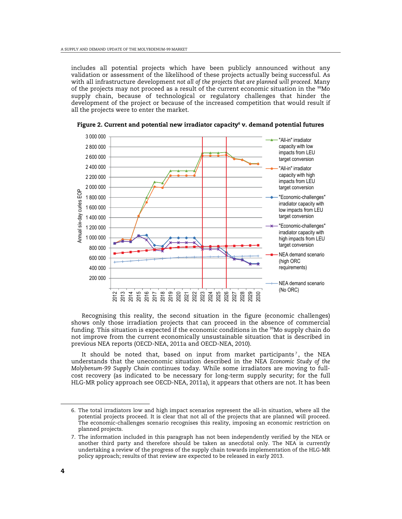includes all potential projects which have been publicly announced without any validation or assessment of the likelihood of these projects actually being successful. As with all infrastructure development *not all of the projects that are planned will proceed*. Many of the projects may not proceed as a result of the current economic situation in the  $99M$ o supply chain, because of technological or regulatory challenges that hinder the development of the project or because of the increased competition that would result if all the projects were to enter the market.



Figure 2. Current and potential new irradiator capacity $^{\circ}$  v. demand potential futures

Recognising this reality, the second situation in the figure (economic challenges) shows only those irradiation projects that can proceed in the absence of commercial funding. This situation is expected if the economic conditions in the <sup>99</sup>Mo supply chain do not improve from the current economically unsustainable situation that is described in previous NEA reports (OECD-NEA, 2011a and OECD-NEA, 2010).

It should be noted that, based on input from market participants $^7$ , the NEA understands that the uneconomic situation described in the NEA *Economic Study of the Molybenum-99 Supply Chain* continues today. While some irradiators are moving to fullcost recovery (as indicated to be necessary for long-term supply security; for the full HLG-MR policy approach see OECD-NEA, 2011a), it appears that others are not. It has been

<sup>6.</sup> The total irradiators low and high impact scenarios represent the all-in situation, where all the potential projects proceed. It is clear that not all of the projects that are planned will proceed. The economic-challenges scenario recognises this reality, imposing an economic restriction on planned projects.

<sup>7.</sup> The information included in this paragraph has not been independently verified by the NEA or another third party and therefore should be taken as anecdotal only. The NEA is currently undertaking a review of the progress of the supply chain towards implementation of the HLG-MR policy approach; results of that review are expected to be released in early 2013.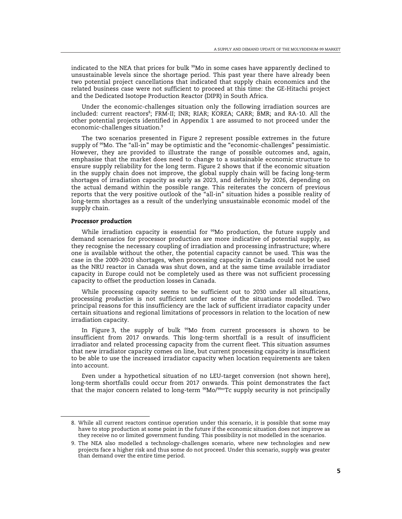indicated to the NEA that prices for bulk <sup>99</sup>Mo in some cases have apparently declined to unsustainable levels since the shortage period. This past year there have already been two potential project cancellations that indicated that supply chain economics and the related business case were not sufficient to proceed at this time: the GE-Hitachi project and the Dedicated Isotope Production Reactor (DIPR) in South Africa.

Under the economic-challenges situation only the following irradiation sources are included: current reactors<sup>s</sup>; FRM-II; INR; RIAR; KOREA; CARR; BMR; and RA-10. All the other potential projects identified in Appendix 1 are assumed to not proceed under the economic-challenges situation.<sup>9</sup>

The two scenarios presented in Figure 2 represent possible extremes in the future supply of <sup>99</sup>Mo. The "all-in" may be optimistic and the "economic-challenges" pessimistic. However, they are provided to illustrate the range of possible outcomes and, again, emphasise that the market does need to change to a sustainable economic structure to ensure supply reliability for the long term. Figure 2 shows that if the economic situation in the supply chain does not improve, the global supply chain will be facing long-term shortages of irradiation capacity as early as 2023, and definitely by 2026, depending on the actual demand within the possible range. This reiterates the concern of previous reports that the very positive outlook of the "all-in" situation hides a possible reality of long-term shortages as a result of the underlying unsustainable economic model of the supply chain.

#### *Processor production*

 $\overline{a}$ 

While irradiation capacity is essential for  $99$ Mo production, the future supply and demand scenarios for processor production are more indicative of potential supply, as they recognise the necessary coupling of irradiation and processing infrastructure; where one is available without the other, the potential capacity cannot be used. This was the case in the 2009-2010 shortages, when processing capacity in Canada could not be used as the NRU reactor in Canada was shut down, and at the same time available irradiator capacity in Europe could not be completely used as there was not sufficient processing capacity to offset the production losses in Canada.

While processing *capacity* seems to be sufficient out to 2030 under all situations, processing *production* is not sufficient under some of the situations modelled. Two principal reasons for this insufficiency are the lack of sufficient irradiator capacity under certain situations and regional limitations of processors in relation to the location of new irradiation capacity.

In Figure 3, the supply of bulk  $99$ Mo from current processors is shown to be insufficient from 2017 onwards. This long-term shortfall is a result of insufficient irradiator and related processing capacity from the current fleet. This situation assumes that new irradiator capacity comes on line, but current processing capacity is insufficient to be able to use the increased irradiator capacity when location requirements are taken into account.

Even under a hypothetical situation of no LEU-target conversion (not shown here), long-term shortfalls could occur from 2017 onwards. This point demonstrates the fact that the major concern related to long-term  $99Mo/99mTc$  supply security is not principally

<sup>8.</sup> While all current reactors continue operation under this scenario, it is possible that some may have to stop production at some point in the future if the economic situation does not improve as they receive no or limited government funding. This possibility is not modelled in the scenarios.

<sup>9.</sup> The NEA also modelled a technology-challenges scenario, where new technologies and new projects face a higher risk and thus some do not proceed. Under this scenario, supply was greater than demand over the entire time period.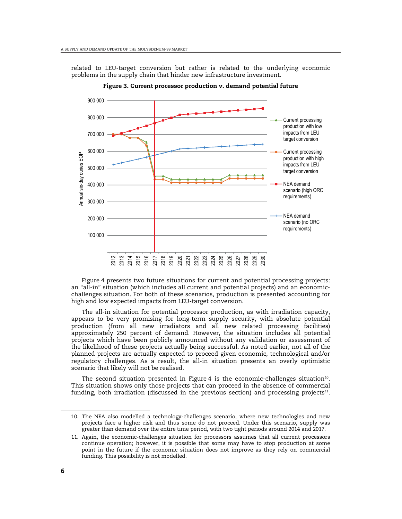related to LEU-target conversion but rather is related to the underlying economic problems in the supply chain that hinder new infrastructure investment.



Figure 3. Current processor production v. demand potential future

Figure 4 presents two future situations for current and potential processing projects: an "all-in" situation (which includes all current and potential projects) and an economicchallenges situation. For both of these scenarios, production is presented accounting for high and low expected impacts from LEU-target conversion.

The all-in situation for potential processor production, as with irradiation capacity, appears to be very promising for long-term supply security, with absolute potential production (from all new irradiators and all new related processing facilities) approximately 250 percent of demand. However, the situation includes all potential projects which have been publicly announced without any validation or assessment of the likelihood of these projects actually being successful. As noted earlier, not all of the planned projects are actually expected to proceed given economic, technological and/or regulatory challenges. As a result, the all-in situation presents an overly optimistic scenario that likely will not be realised.

The second situation presented in Figure 4 is the economic-challenges situation $^{\rm 10}.$ This situation shows only those projects that can proceed in the absence of commercial funding, both irradiation (discussed in the previous section) and processing projects $^{\rm 11}.$ 

<sup>10.</sup> The NEA also modelled a technology-challenges scenario, where new technologies and new projects face a higher risk and thus some do not proceed. Under this scenario, supply was greater than demand over the entire time period, with two tight periods around 2014 and 2017.

<sup>11.</sup> Again, the economic-challenges situation for processors assumes that all current processors continue operation; however, it is possible that some may have to stop production at some point in the future if the economic situation does not improve as they rely on commercial funding. This possibility is not modelled.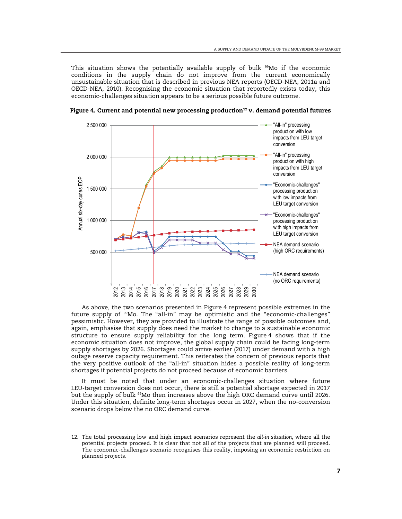This situation shows the potentially available supply of bulk <sup>99</sup>Mo if the economic conditions in the supply chain do not improve from the current economically unsustainable situation that is described in previous NEA reports (OECD-NEA, 2011a and OECD-NEA, 2010). Recognising the economic situation that reportedly exists today, this economic-challenges situation appears to be a serious possible future outcome.



Figure 4. Current and potential new processing production<sup>12</sup> v. demand potential futures

As above, the two scenarios presented in Figure 4 represent possible extremes in the future supply of <sup>99</sup>Mo. The "all-in" may be optimistic and the "economic-challenges" pessimistic. However, they are provided to illustrate the range of possible outcomes and, again, emphasise that supply does need the market to change to a sustainable economic structure to ensure supply reliability for the long term. Figure 4 shows that if the economic situation does not improve, the global supply chain could be facing long-term supply shortages by 2026. Shortages could arrive earlier (2017) under demand with a high outage reserve capacity requirement. This reiterates the concern of previous reports that the very positive outlook of the "all-in" situation hides a possible reality of long-term shortages if potential projects do not proceed because of economic barriers.

It must be noted that under an economic-challenges situation where future LEU-target conversion does not occur, there is still a potential shortage expected in 2017 but the supply of bulk <sup>99</sup>Mo then increases above the high ORC demand curve until 2026. Under this situation, definite long-term shortages occur in 2027, when the no-conversion scenario drops below the no ORC demand curve.

<sup>12.</sup> The total processing low and high impact scenarios represent the *all-in situation*, where all the potential projects proceed. It is clear that not all of the projects that are planned will proceed. The economic-challenges scenario recognises this reality, imposing an economic restriction on planned projects.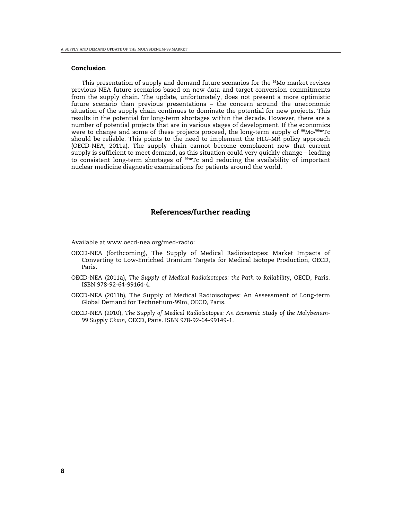#### Conclusion

This presentation of supply and demand future scenarios for the  $99$ Mo market revises previous NEA future scenarios based on new data and target conversion commitments from the supply chain. The update, unfortunately, does not present a more optimistic future scenario than previous presentations – the concern around the uneconomic situation of the supply chain continues to dominate the potential for new projects. This results in the potential for long-term shortages within the decade. However, there are a number of potential projects that are in various stages of development. If the economics were to change and some of these projects proceed, the long-term supply of <sup>99</sup>Mo/<sup>99m</sup>Tc should be reliable. This points to the need to implement the HLG-MR policy approach (OECD-NEA, 2011a). The supply chain cannot become complacent now that current supply is sufficient to meet demand, as this situation could very quickly change – leading to consistent long-term shortages of <sup>99m</sup>Tc and reducing the availability of important nuclear medicine diagnostic examinations for patients around the world.

# References/further reading

Available at [www.oecd-nea.org/med-radio:](http://www.oecd-nea.org/med-radio) 

- OECD-NEA (forthcoming), The Supply of Medical Radioisotopes: Market Impacts of Converting to Low-Enriched Uranium Targets for Medical Isotope Production, OECD, Paris.
- OECD-NEA (2011a), *The Supply of Medical Radioisotopes: the Path to Reliability*, OECD, Paris. ISBN 978-92-64-99164-4.
- OECD-NEA (2011b), The Supply of Medical Radioisotopes: An Assessment of Long-term Global Demand for Technetium-99m, OECD, Paris.
- OECD-NEA (2010), *The Supply of Medical Radioisotopes: An Economic Study of the Molybenum-99 Supply Chain*, OECD, Paris. ISBN 978-92-64-99149-1.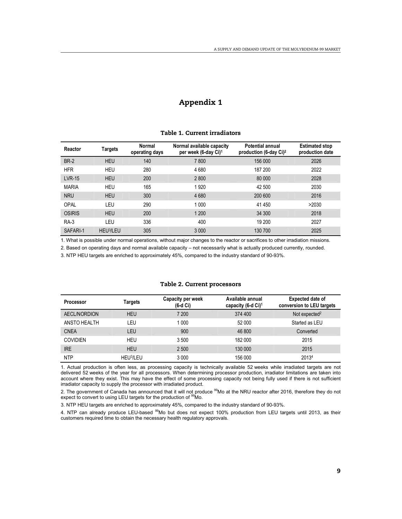# Appendix 1

#### Table 1. Current irradiators

| Reactor       | Targets               | Normal<br>operating days | Normal available capacity<br>per week (6-day Ci) <sup>1</sup> | Potential annual<br>production (6-day $Ci)^2$ | <b>Estimated stop</b><br>production date |
|---------------|-----------------------|--------------------------|---------------------------------------------------------------|-----------------------------------------------|------------------------------------------|
| <b>BR-2</b>   | <b>HEU</b>            | 140                      | 7 800                                                         | 156 000                                       | 2026                                     |
| <b>HFR</b>    | <b>HEU</b>            | 280                      | 4680                                                          | 187 200                                       | 2022                                     |
| <b>LVR-15</b> | <b>HEU</b>            | 200                      | 2800                                                          | 80 000                                        | 2028                                     |
| <b>MARIA</b>  | <b>HEU</b>            | 165                      | 1920                                                          | 42 500                                        | 2030                                     |
| <b>NRU</b>    | <b>HEU</b>            | 300                      | 4 6 8 0                                                       | 200 600                                       | 2016                                     |
| <b>OPAL</b>   | LEU                   | 290                      | 1 0 0 0                                                       | 41 450                                        | >2030                                    |
| OSIRIS        | <b>HEU</b>            | 200                      | 1 200                                                         | 34 300                                        | 2018                                     |
| <b>RA-3</b>   | LEU                   | 336                      | 400                                                           | 19 200                                        | 2027                                     |
| SAFARI-1      | HEU <sup>3</sup> /LEU | 305                      | 3 0 0 0                                                       | 130 700                                       | 2025                                     |

1. What is possible under normal operations, without major changes to the reactor or sacrifices to other irradiation missions.

2. Based on operating days and normal available capacity – not necessarily what is actually produced currently, rounded.

3. NTP HEU targets are enriched to approximately 45%, compared to the industry standard of 90-93%.

#### Table 2. Current processors

| <b>Processor</b> | Targets               | Capacity per week<br>$(6-d Ci)$ | Available annual<br>capacity (6-d Ci) <sup>1</sup> | Expected date of<br>conversion to LEU targets |
|------------------|-----------------------|---------------------------------|----------------------------------------------------|-----------------------------------------------|
| AECL/NORDION     | <b>HEU</b>            | 7 200                           | 374 400                                            | Not expected <sup>2</sup>                     |
| ANSTO HEALTH     | LEU                   | 1 0 0 0                         | 52 000                                             | Started as LEU                                |
| <b>CNEA</b>      | LEU                   | 900                             | 46 800                                             | Converted                                     |
| <b>COVIDIEN</b>  | <b>HEU</b>            | 3 500                           | 182 000                                            | 2015                                          |
| <b>IRE</b>       | <b>HEU</b>            | 2 500                           | 130 000                                            | 2015                                          |
| <b>NTP</b>       | HEU <sup>3</sup> /LEU | 3 0 0 0                         | 156 000                                            | 20134                                         |

1. Actual production is often less, as processing capacity is technically available 52 weeks while irradiated targets are not delivered 52 weeks of the year for all processors. When determining processor production, irradiator limitations are taken into account where they exist. This may have the effect of some processing capacity not being fully used if there is not sufficient irradiator capacity to supply the processor with irradiated product.

2. The government of Canada has announced that it will not produce <sup>99</sup>Mo at the NRU reactor after 2016, therefore they do not expect to convert to using LEU targets for the production of <sup>99</sup>Mo.

3. NTP HEU targets are enriched to approximately 45%, compared to the industry standard of 90-93%.

4. NTP can already produce LEU-based <sup>99</sup>Mo but does not expect 100% production from LEU targets until 2013, as their customers required time to obtain the necessary health regulatory approvals.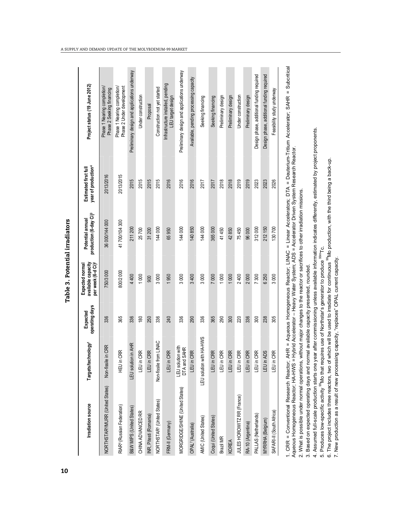| <b>Irradiation source</b>                   | Targets/technology <sup>1</sup>                    | operating days<br>Expected | per week (6-d Ci) <sup>2</sup><br>available capacity<br>Expected normal | production (6-day Ci) <sup>3</sup><br>Potential annual | year of production <sup>4</sup><br>Estimated first ful | Project status (19 June 2012)                                                                                           |
|---------------------------------------------|----------------------------------------------------|----------------------------|-------------------------------------------------------------------------|--------------------------------------------------------|--------------------------------------------------------|-------------------------------------------------------------------------------------------------------------------------|
| NORTHSTAR <sup>5</sup> MURR (United States) | in CRR<br>Non-fissile                              | 336                        | 750/3 000                                                               | 36 000/144 000                                         | 2013/2016                                              | Phase 1 Nearing completion/<br>Phase 2 Seeking financing                                                                |
| RIAR <sup>6</sup> (Russian Federation)      | <b>CRR</b><br>HEU in                               | 365                        | 800/2000                                                                | 41700/104300                                           | 2013/2015                                              | Phase 2 Under development<br>Phase 1 Nearing completion/                                                                |
| B&W MIPS (United States)                    | LEU solution in AHR                                | 336                        | 4 400                                                                   | 211 200                                                | 2015                                                   | Preliminary design and applications underway                                                                            |
| CHINA ADVANCED RR                           | LEU in CRR                                         | 180                        | 1000                                                                    | 25700                                                  | 2015                                                   | Under construction                                                                                                      |
| INR, Pitesti (Romania)                      | LEU in CRR                                         | 250                        | 900                                                                     | 31200                                                  | 2015                                                   | Proposal                                                                                                                |
| NORTHSTAR <sup>5</sup> (United States)      | Non-fissile from LINAC                             | 336                        | 3000                                                                    | 144000                                                 | 2015                                                   | Construction not yet started                                                                                            |
| FRM-II (Germany)                            | <b>GRR</b><br>LEU in                               | 240                        | 1950                                                                    | 65950                                                  | 2016                                                   | Infrastructure installed, pending<br>LEU target design                                                                  |
| MORGRIDGE/SHINE (United States)             | LEU solution with<br><b>SAHR</b><br><b>DTA</b> and | 336                        | 3000                                                                    | 144000                                                 | 2016                                                   | Preliminary design and applications underway                                                                            |
| OPAL <sup>7</sup> (Australia)               | <b>CRR</b><br>LEU in                               | 290                        | 3400                                                                    | 140850                                                 | 2016                                                   | Available, pending processing capacity                                                                                  |
| AMIC (United States)                        | LEU solution with HA-HWS                           | 336                        | 3000                                                                    | 144 000                                                | 2017                                                   | Seeking financing                                                                                                       |
| Coqui (United States)                       | <b>CRR</b><br>LEU in                               | 365                        | 7000                                                                    | 365000                                                 | 2017                                                   | Seeking financing                                                                                                       |
| Brazil MR                                   | LEU in CRR                                         | 290                        | 1000                                                                    | 41450                                                  | 2018                                                   | Preliminary design                                                                                                      |
| <b>KOREA</b>                                | LEU in CRR                                         | 300                        | 1000                                                                    | 42850                                                  | 2018                                                   | Preliminary design                                                                                                      |
| JULES HOROWITZ RR (France)                  | CRR<br>LEU in                                      | 220                        | 2400                                                                    | 75450                                                  | 2019                                                   | Under construction                                                                                                      |
| RA-10 (Argentina)                           | <b>CRR</b><br>LEU in                               | 336                        | 2000                                                                    | 96000                                                  | 2019                                                   | Preliminary design                                                                                                      |
| PALLAS (Netherlands)                        | LEU in CRR                                         | 300                        | 7300                                                                    | 312000                                                 | 2023                                                   | Design phase, additional funding required                                                                               |
| MYRRHA (Belgium)                            | ADS<br>LEU in                                      | 238                        | 6 250                                                                   | 212 150                                                | 2023                                                   | Design phase, additional funding required                                                                               |
| SAFARI-II (South Africa)                    | <b>CRR</b><br>LEU in                               | 305                        | 3000                                                                    | 130 700                                                | 2026                                                   | Feasibility study underway                                                                                              |
| . CRR = Conventional Research Reactor;      |                                                    |                            |                                                                         |                                                        |                                                        | AHR = Aqueous Homogeneous Reactor: LINAC = Linear Accelerators: DTA = Deuterium-Tritium Accelerator: SAHR = Subcritical |

Table 3. Potential irradiators 10 Table 3. Potential irradiators 1. CRR = Conventional Research Reactor; AHR = Aqueous Homogeneous Reactor; LINAC = Linear Accelerators; DTA = Deuterium-Tritium Accelerator; SAHR = Subcritical Aqueous Homogeneous Reactor, HA-HWS = Hybrid Accelerator - Heavy Water System; ADS = Accelerator Driven System Research Reactor. Aqueous Homogeneous Reactor; HA-HWS = Hybrid Accelerator – Heavy Water System; ADS = Accelerator Driven System Research Reactor.

2. What is possible under normal operations, without major changes to the reactor or sacrifices to other irradiation missions. 2. What is possible under normal operations, without major changes to the reactor or sacrifices to other irradiation missions.

3. Based on expected operating days and normal available capacity presented, rounded. 3. Based on expected operating days and normal available capacity presented, rounded.

4. Assumed full-scale production starts one year after commissioning unless available information indicates differently, estimated by project proponents. 4. Assumed full-scale production starts one year after commissioning unless available information indicates differently, estimated by project proponents.

5. Produces low-specific activity <sup>99</sup>Mo that requires use of Northstar's generator to produce <sup>99m</sup>Tc. 5. Produces low-specific activity <sup>99</sup>Mo that requires use of Northstar's generator to produce <sup>99m</sup>Tc.

6. The project includes three reactors, two of which will be used to irradiate for continuous 99Mo production, with the third being a back-up. 6. The project includes three reactors, two of which will be used to irradiate for continuous <sup>99</sup>Mo production, with the third being a back-up. 7. New production as a result of new processing capacity, "replaces" OPAL current capacity. 7. New production as a result of new processing capacity, "replaces" OPAL current capacity.